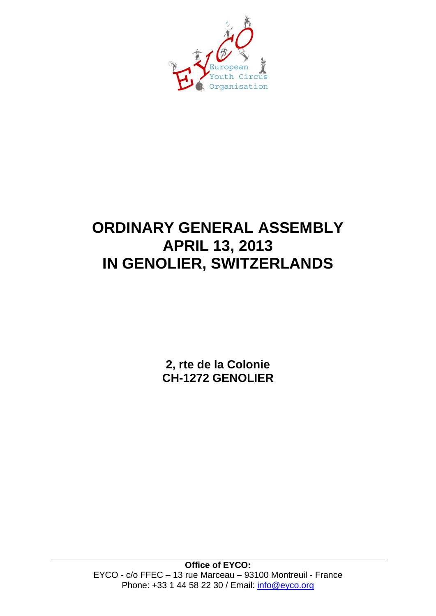

# **ORDINARY GENERAL ASSEMBLY APRIL 13, 2013 IN GENOLIER, SWITZERLANDS**

**2, rte de la Colonie CH-1272 GENOLIER**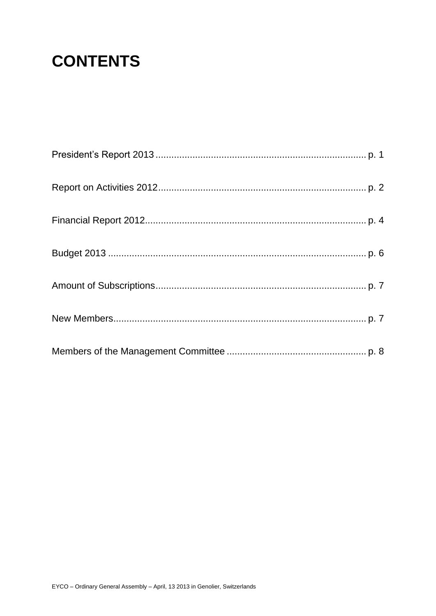# **CONTENTS**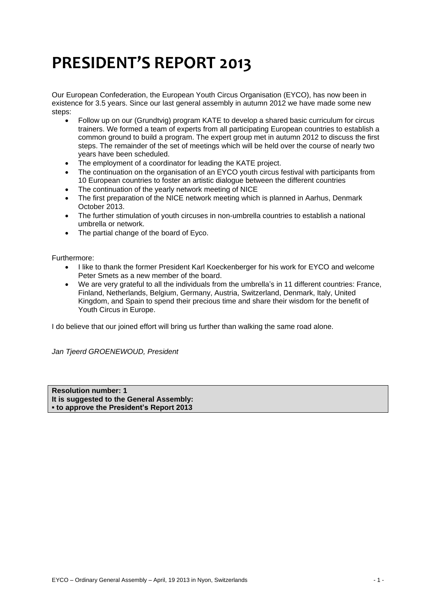# **PRESIDENT'S REPORT 2013**

Our European Confederation, the European Youth Circus Organisation (EYCO), has now been in existence for 3.5 years. Since our last general assembly in autumn 2012 we have made some new steps:

- Follow up on our (Grundtvig) program KATE to develop a shared basic curriculum for circus trainers. We formed a team of experts from all participating European countries to establish a common ground to build a program. The expert group met in autumn 2012 to discuss the first steps. The remainder of the set of meetings which will be held over the course of nearly two years have been scheduled.
- The employment of a coordinator for leading the KATE project.
- The continuation on the organisation of an EYCO youth circus festival with participants from 10 European countries to foster an artistic dialogue between the different countries
- The continuation of the yearly network meeting of NICE
- The first preparation of the NICE network meeting which is planned in Aarhus, Denmark October 2013.
- The further stimulation of youth circuses in non-umbrella countries to establish a national umbrella or network.
- The partial change of the board of Eyco.

Furthermore:

- I like to thank the former President Karl Koeckenberger for his work for EYCO and welcome Peter Smets as a new member of the board.
- We are very grateful to all the individuals from the umbrella's in 11 different countries: France, Finland, Netherlands, Belgium, Germany, Austria, Switzerland, Denmark, Italy, United Kingdom, and Spain to spend their precious time and share their wisdom for the benefit of Youth Circus in Europe.

I do believe that our joined effort will bring us further than walking the same road alone.

*Jan Tjeerd GROENEWOUD, President*

**Resolution number: 1 It is suggested to the General Assembly: ▪ to approve the President's Report 2013**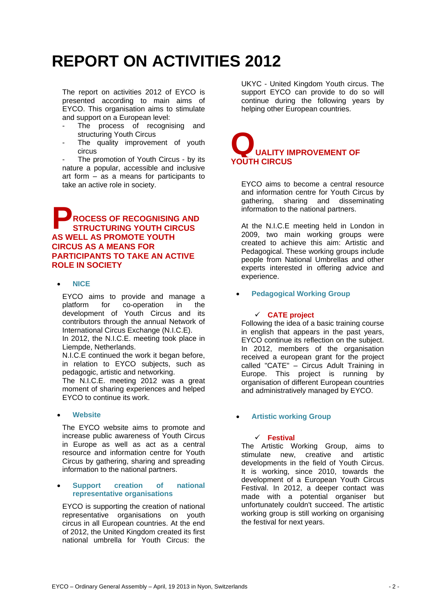# **REPORT ON ACTIVITIES 2012**

The report on activities 2012 of EYCO is presented according to main aims of EYCO. This organisation aims to stimulate and support on a European level:

- The process of recognising and structuring Youth Circus
- The quality improvement of youth circus

The promotion of Youth Circus - by its nature a popular, accessible and inclusive art form – as a means for participants to take an active role in society.

## **ROCESS OF RECOGNISING AND STRUCTURING YOUTH CIRCUS AS WELL AS PROMOTE YOUTH CIRCUS AS A MEANS FOR PARTICIPANTS TO TAKE AN ACTIVE ROLE IN SOCIETY P**

## **NICE**

EYCO aims to provide and manage a platform for co-operation in the development of Youth Circus and its contributors through the annual Network of International Circus Exchange (N.I.C.E).

In 2012, the N.I.C.E. meeting took place in Liempde, Netherlands.

N.I.C.E continued the work it began before, in relation to EYCO subjects, such as pedagogic, artistic and networking.

The N.I.C.E. meeting 2012 was a great moment of sharing experiences and helped EYCO to continue its work.

## **Website**

The EYCO website aims to promote and increase public awareness of Youth Circus in Europe as well as act as a central resource and information centre for Youth Circus by gathering, sharing and spreading information to the national partners.

## **Support creation of national representative organisations**

EYCO is supporting the creation of national representative organisations on youth circus in all European countries. At the end of 2012, the United Kingdom created its first national umbrella for Youth Circus: the

UKYC - United Kingdom Youth circus. The support EYCO can provide to do so will continue during the following years by helping other European countries.



EYCO aims to become a central resource and information centre for Youth Circus by gathering, sharing and disseminating information to the national partners.

At the N.I.C.E meeting held in London in 2009, two main working groups were created to achieve this aim: Artistic and Pedagogical. These working groups include people from National Umbrellas and other experts interested in offering advice and experience.

## **Pedagogical Working Group**

## **CATE project**

Following the idea of a basic training course in english that appears in the past years, EYCO continue its reflection on the subject. In 2012, members of the organisation received a european grant for the project called "CATE" – Circus Adult Training in Europe. This project is running by organisation of different European countries and administratively managed by EYCO.

## **Artistic working Group**

## **Festival**

The Artistic Working Group, aims to stimulate new, creative and artistic developments in the field of Youth Circus. It is working, since 2010, towards the development of a European Youth Circus Festival. In 2012, a deeper contact was made with a potential organiser but unfortunately couldn't succeed. The artistic working group is still working on organising the festival for next years.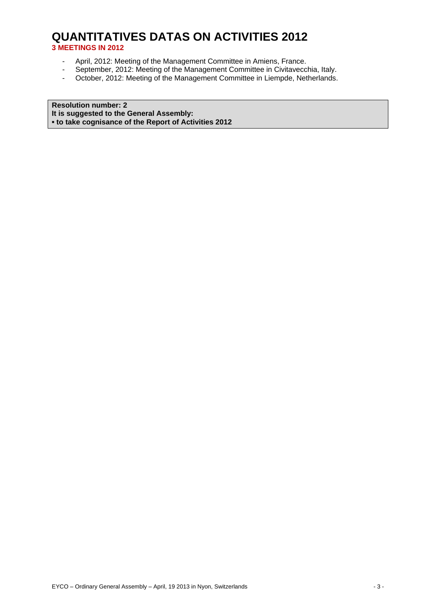## **QUANTITATIVES DATAS ON ACTIVITIES 2012 3 MEETINGS IN 2012**

- April, 2012: Meeting of the Management Committee in Amiens, France.
- September, 2012: Meeting of the Management Committee in Civitavecchia, Italy.
- October, 2012: Meeting of the Management Committee in Liempde, Netherlands.

**Resolution number: 2 It is suggested to the General Assembly: ▪ to take cognisance of the Report of Activities 2012**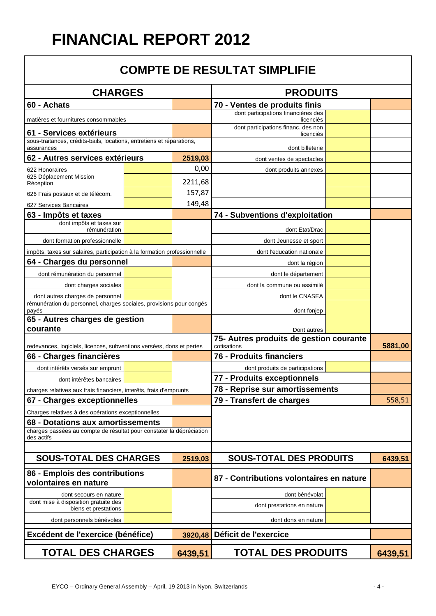# **FINANCIAL REPORT 2012**

## **COMPTE DE RESULTAT SIMPLIFIE**

| <b>CHARGES</b>                                                                     |  | <b>PRODUITS</b>                                        |                                                  |         |         |
|------------------------------------------------------------------------------------|--|--------------------------------------------------------|--------------------------------------------------|---------|---------|
| 60 - Achats                                                                        |  |                                                        | 70 - Ventes de produits finis                    |         |         |
| matières et fournitures consommables                                               |  |                                                        | dont participations financières des<br>licenciés |         |         |
| 61 - Services extérieurs                                                           |  |                                                        | dont participations financ. des non<br>licenciés |         |         |
| sous-traitances, crédits-bails, locations, entretiens et réparations,              |  |                                                        |                                                  |         |         |
| assurances<br>62 - Autres services extérieurs                                      |  |                                                        | dont billeterie                                  |         |         |
| 622 Honoraires                                                                     |  | 2519,03<br>0,00                                        | dont ventes de spectacles                        |         |         |
| 625 Déplacement Mission                                                            |  |                                                        | dont produits annexes                            |         |         |
| Réception                                                                          |  | 2211,68                                                |                                                  |         |         |
| 626 Frais postaux et de télécom.                                                   |  | 157,87<br>149,48                                       |                                                  |         |         |
| 627 Services Bancaires                                                             |  |                                                        |                                                  |         |         |
| 63 - Impôts et taxes<br>dont impôts et taxes sur                                   |  |                                                        | 74 - Subventions d'exploitation                  |         |         |
| rémunération                                                                       |  |                                                        | dont Etat/Drac                                   |         |         |
| dont formation professionnelle                                                     |  |                                                        | dont Jeunesse et sport                           |         |         |
| impôts, taxes sur salaires, participation à la formation professionnelle           |  |                                                        | dont l'education nationale                       |         |         |
| 64 - Charges du personnel                                                          |  |                                                        | dont la région                                   |         |         |
| dont rémunération du personnel                                                     |  |                                                        | dont le département                              |         |         |
| dont charges sociales                                                              |  |                                                        | dont la commune ou assimilé                      |         |         |
| dont autres charges de personnel                                                   |  |                                                        | dont le CNASEA                                   |         |         |
| rémunération du personnel, charges sociales, provisions pour congés<br>payés       |  |                                                        | dont fonjep                                      |         |         |
| 65 - Autres charges de gestion                                                     |  |                                                        |                                                  |         |         |
| courante                                                                           |  |                                                        | Dont autres                                      |         |         |
| redevances, logiciels, licences, subventions versées, dons et pertes               |  | 75- Autres produits de gestion courante<br>cotisations |                                                  | 5881,00 |         |
| 66 - Charges financières                                                           |  |                                                        | 76 - Produits financiers                         |         |         |
| dont intérêts versés sur emprunt                                                   |  |                                                        | dont produits de participations                  |         |         |
| dont intérêtes bancaires                                                           |  |                                                        | 77 - Produits exceptionnels                      |         |         |
| charges relatives aux frais financiers, interêts, frais d'emprunts                 |  | 78 - Reprise sur amortissements                        |                                                  |         |         |
| 67 - Charges exceptionnelles                                                       |  |                                                        | 79 - Transfert de charges                        |         | 558,51  |
| Charges relatives à des opérations exceptionnelles                                 |  |                                                        |                                                  |         |         |
| 68 - Dotations aux amortissements                                                  |  |                                                        |                                                  |         |         |
| charges passées au compte de résultat pour constater la dépréciation<br>des actifs |  |                                                        |                                                  |         |         |
|                                                                                    |  |                                                        |                                                  |         |         |
| <b>SOUS-TOTAL DES CHARGES</b>                                                      |  | 2519,03                                                | <b>SOUS-TOTAL DES PRODUITS</b>                   |         | 6439,51 |
| 86 - Emplois des contributions<br>volontaires en nature                            |  | 87 - Contributions volontaires en nature               |                                                  |         |         |
| dont secours en nature                                                             |  |                                                        | dont bénévolat                                   |         |         |
| dont mise à disposition gratuite des                                               |  |                                                        | dont prestations en nature                       |         |         |
| biens et prestations<br>dont personnels bénévoles                                  |  |                                                        | dont dons en nature                              |         |         |
|                                                                                    |  |                                                        |                                                  |         |         |
| Excédent de l'exercice (bénéfice)<br>3920,48                                       |  | Déficit de l'exercice                                  |                                                  |         |         |
| <b>TOTAL DES CHARGES</b>                                                           |  | 6439,51                                                | <b>TOTAL DES PRODUITS</b>                        |         | 6439,51 |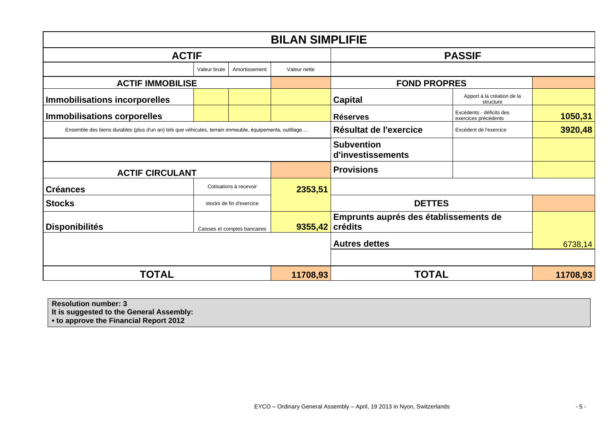| <b>BILAN SIMPLIFIE</b>                                                                                  |              |                              |                     |                                        |                                                  |          |
|---------------------------------------------------------------------------------------------------------|--------------|------------------------------|---------------------|----------------------------------------|--------------------------------------------------|----------|
| <b>ACTIF</b>                                                                                            |              |                              |                     | <b>PASSIF</b>                          |                                                  |          |
|                                                                                                         | Valeur brute | Amortissement                | Valeur nette        |                                        |                                                  |          |
| <b>ACTIF IMMOBILISE</b>                                                                                 |              |                              | <b>FOND PROPRES</b> |                                        |                                                  |          |
| Immobilisations incorporelles                                                                           |              |                              |                     | <b>Capital</b>                         | Apport à la création de la<br>structure          |          |
| <b>Immobilisations corporelles</b>                                                                      |              |                              |                     | <b>Réserves</b>                        | Excédents - déficits des<br>exercices précédents | 1050,31  |
| Ensemble des biens durables (plus d'un an) tels que véhicules, terrain immeuble, équipements, outillage |              |                              |                     | Résultat de l'exercice                 | Excédent de l'exercice                           | 3920,48  |
|                                                                                                         |              |                              |                     | <b>Subvention</b><br>d'investissements |                                                  |          |
| <b>ACTIF CIRCULANT</b>                                                                                  |              |                              |                     | <b>Provisions</b>                      |                                                  |          |
| <b>Créances</b>                                                                                         |              | Cotisations à recevoir       | 2353,51             |                                        |                                                  |          |
| <b>Stocks</b>                                                                                           |              | stocks de fin d'exercice     |                     | <b>DETTES</b>                          |                                                  |          |
| <b>Disponibilités</b>                                                                                   |              | Caisses et comptes bancaires | $9355,42$ crédits   | Emprunts auprés des établissements de  |                                                  |          |
|                                                                                                         |              |                              |                     | <b>Autres dettes</b>                   |                                                  | 6738,14  |
| <b>TOTAL</b>                                                                                            |              |                              | 11708,93            | <b>TOTAL</b>                           |                                                  | 11708,93 |

| Resolution number: 3                        |  |
|---------------------------------------------|--|
| It is suggested to the General Assembly:    |  |
| <b>to approve the Financial Report 2012</b> |  |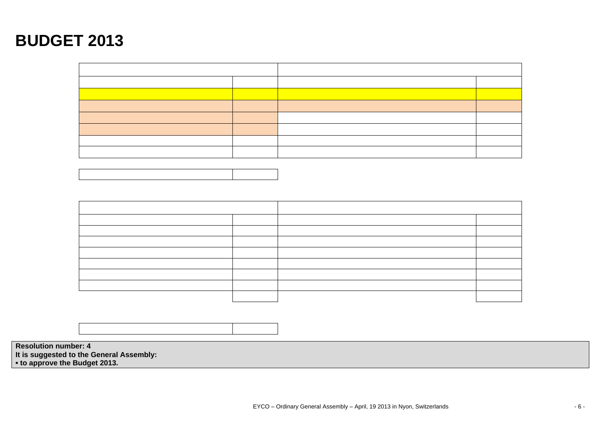# **BUDGET 2013**





**Resolution number: 4 It is suggested to the General Assembly: ▪ to approve the Budget 2013.**